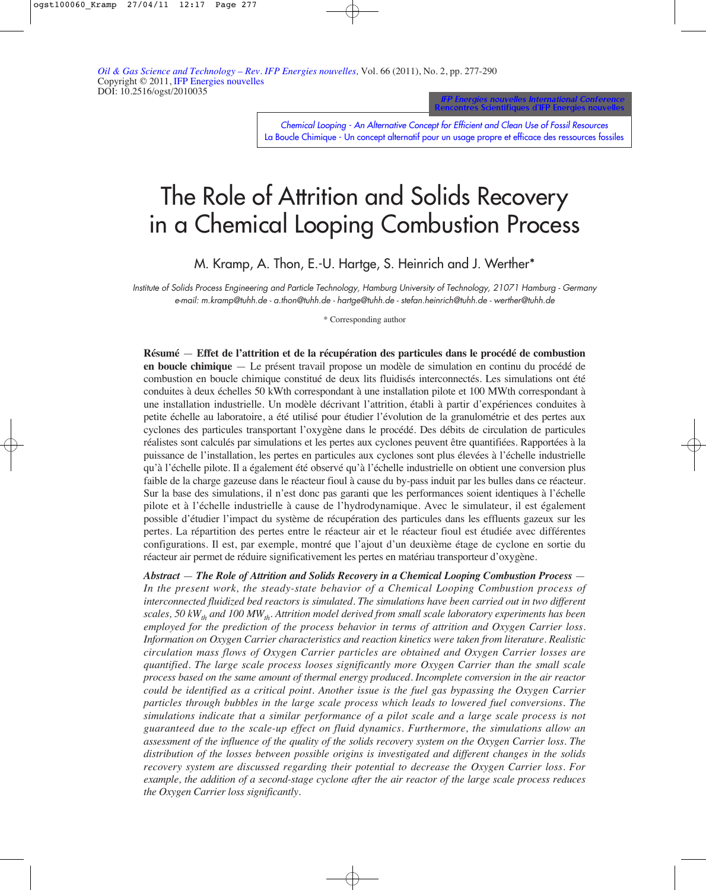IFP Energies nouvelles International Conference [Rencontres Scientifiques d'IFP Energies nouvelles](http://ogst.ifp.fr/articles/ogst/abs/2011/02/contents/contents.html)

[Chemical Looping - An Alternative Concept for Efficient and Clean Use of Fossil Resources](http://ogst.ifp.fr/articles/ogst/abs/2011/02/contents/contents.html) La Boucle Chimique - Un concept alternatif pour un usage propre et efficace des ressources fossiles

# The Role of Attrition and Solids Recovery in a Chemical Looping Combustion Process

M. Kramp, A. Thon, E.-U. Hartge, S. Heinrich and J. Werther\*

Institute of Solids Process Engineering and Particle Technology, Hamburg University of Technology, 21071 Hamburg - Germany e-mail: m.kramp@tuhh.de - a.thon@tuhh.de - hartge@tuhh.de - stefan.heinrich@tuhh.de - werther@tuhh.de

\* Corresponding author

**Résumé** — **Effet de l'attrition et de la récupération des particules dans le procédé de combustion en boucle chimique** — Le présent travail propose un modèle de simulation en continu du procédé de combustion en boucle chimique constitué de deux lits fluidisés interconnectés. Les simulations ont été conduites à deux échelles 50 kWth correspondant à une installation pilote et 100 MWth correspondant à une installation industrielle. Un modèle décrivant l'attrition, établi à partir d'expériences conduites à petite échelle au laboratoire, a été utilisé pour étudier l'évolution de la granulométrie et des pertes aux cyclones des particules transportant l'oxygène dans le procédé. Des débits de circulation de particules réalistes sont calculés par simulations et les pertes aux cyclones peuvent être quantifiées. Rapportées à la puissance de l'installation, les pertes en particules aux cyclones sont plus élevées à l'échelle industrielle qu'à l'échelle pilote. Il a également été observé qu'à l'échelle industrielle on obtient une conversion plus faible de la charge gazeuse dans le réacteur fioul à cause du by-pass induit par les bulles dans ce réacteur. Sur la base des simulations, il n'est donc pas garanti que les performances soient identiques à l'échelle pilote et à l'échelle industrielle à cause de l'hydrodynamique. Avec le simulateur, il est également possible d'étudier l'impact du système de récupération des particules dans les effluents gazeux sur les pertes. La répartition des pertes entre le réacteur air et le réacteur fioul est étudiée avec différentes configurations. Il est, par exemple, montré que l'ajout d'un deuxième étage de cyclone en sortie du réacteur air permet de réduire significativement les pertes en matériau transporteur d'oxygène.

*Abstract* — *The Role of Attrition and Solids Recovery in a Chemical Looping Combustion Process* — *In the present work, the steady-state behavior of a Chemical Looping Combustion process of interconnected fluidized bed reactors is simulated. The simulations have been carried out in two different scales, 50 kWth and 100 MWth. Attrition model derived from small scale laboratory experiments has been employed for the prediction of the process behavior in terms of attrition and Oxygen Carrier loss. Information on Oxygen Carrier characteristics and reaction kinetics were taken from literature. Realistic circulation mass flows of Oxygen Carrier particles are obtained and Oxygen Carrier losses are quantified. The large scale process looses significantly more Oxygen Carrier than the small scale process based on the same amount of thermal energy produced. Incomplete conversion in the air reactor could be identified as a critical point. Another issue is the fuel gas bypassing the Oxygen Carrier particles through bubbles in the large scale process which leads to lowered fuel conversions. The simulations indicate that a similar performance of a pilot scale and a large scale process is not guaranteed due to the scale-up effect on fluid dynamics. Furthermore, the simulations allow an assessment of the influence of the quality of the solids recovery system on the Oxygen Carrier loss. The distribution of the losses between possible origins is investigated and different changes in the solids recovery system are discussed regarding their potential to decrease the Oxygen Carrier loss. For example, the addition of a second-stage cyclone after the air reactor of the large scale process reduces the Oxygen Carrier loss significantly.*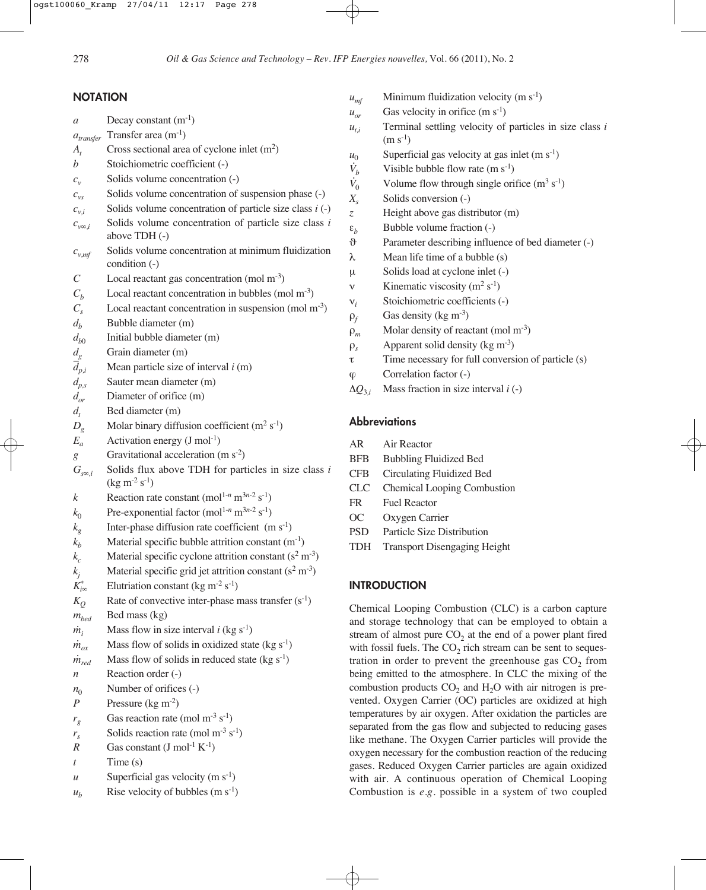# **NOTATION**

| a                                | Decay constant $(m^{-1})$                                                                    |
|----------------------------------|----------------------------------------------------------------------------------------------|
| $a_{\text{transfer}}$            | Transfer area $(m^{-1})$                                                                     |
| $A_{t}$                          | Cross sectional area of cyclone inlet $(m2)$                                                 |
| b                                | Stoichiometric coefficient (-)                                                               |
| $c_{v}$                          | Solids volume concentration (-)                                                              |
| $c_{\nu s}$                      | Solids volume concentration of suspension phase (-)                                          |
| $c_{v,i}$                        | Solids volume concentration of particle size class $i(\cdot)$                                |
| $c_{v\infty,i}$                  | Solids volume concentration of particle size class $i$<br>above TDH (-)                      |
|                                  | Solids volume concentration at minimum fluidization                                          |
| $c_{v,mf}$                       | $condition (-)$                                                                              |
| $\mathcal{C}$                    | Local reactant gas concentration (mol $m^{-3}$ )                                             |
| $C_h$                            | Local reactant concentration in bubbles (mol $m^{-3}$ )                                      |
| $C_{s}$                          | Local reactant concentration in suspension (mol $m-3$ )                                      |
| $d_h$                            | Bubble diameter (m)                                                                          |
| $d_{b0}$                         | Initial bubble diameter (m)                                                                  |
| $\frac{d_g}{\overline{d}_{p,i}}$ | Grain diameter (m)                                                                           |
|                                  | Mean particle size of interval $i$ (m)                                                       |
| $d_{p,s}$                        | Sauter mean diameter (m)                                                                     |
| $d_{or}$                         | Diameter of orifice (m)                                                                      |
| $d_t$                            | Bed diameter (m)                                                                             |
| $D_g$                            | Molar binary diffusion coefficient $(m^2 s^{-1})$                                            |
| $E_a$                            | Activation energy $(J \text{ mol}^{-1})$                                                     |
| g                                | Gravitational acceleration $(m s-2)$                                                         |
| $G_{s\infty,i}$                  | Solids flux above TDH for particles in size class $i$<br>$(\text{kg m}^{-2} \text{ s}^{-1})$ |
| k                                | Reaction rate constant (mol <sup>1-n</sup> m <sup>3n-2</sup> s <sup>-1</sup> )               |
| $k_0$                            | Pre-exponential factor (mol <sup>1-n</sup> m <sup>3n-2</sup> s <sup>-1</sup> )               |
| $k_{g}$                          | Inter-phase diffusion rate coefficient $(m s-1)$                                             |
| $k_b$                            | Material specific bubble attrition constant $(m^{-1})$                                       |
| $k_c$                            | Material specific cyclone attrition constant $(s^2 m^{-3})$                                  |
| $k_i$                            | Material specific grid jet attrition constant $(s^2 m^{-3})$                                 |
| $K^*_{i\infty}$                  | Elutriation constant (kg m <sup>-2</sup> s <sup>-1</sup> )                                   |
| $K_Q$                            | Rate of convective inter-phase mass transfer $(s^{-1})$                                      |
| $m_{bed}$                        | Bed mass (kg)                                                                                |
| $\dot{m}_i$                      | Mass flow in size interval <i>i</i> (kg $s^{-1}$ )                                           |
| $\dot{m}_{ox}$                   | Mass flow of solids in oxidized state $(kg s-1)$                                             |
| $\dot{m}_{red}$                  | Mass flow of solids in reduced state (kg $s^{-1}$ )                                          |
| n                                | Reaction order (-)                                                                           |
| $n_0$                            | Number of orifices (-)                                                                       |
| $\boldsymbol{P}$                 | Pressure ( $\text{kg m}^{-2}$ )                                                              |
| $r_{g}$                          | Gas reaction rate (mol $m^{-3} s^{-1}$ )                                                     |
| $r_{s}$                          | Solids reaction rate (mol $m^{-3} s^{-1}$ )                                                  |
| $\boldsymbol{R}$                 | Gas constant $(J \text{ mol}^{-1} K^{-1})$                                                   |
| t                                | Time(s)                                                                                      |

- *u* Superficial gas velocity  $(m s<sup>-1</sup>)$
- $u_b$  Rise velocity of bubbles (m s<sup>-1</sup>)
- $u_{\text{mf}}$  Minimum fluidization velocity (m s<sup>-1</sup>)  $u_{or}$  Gas velocity in orifice (m s<sup>-1</sup>)  $u_{t,i}$  Terminal settling velocity of particles in size class *i*  $(m s^{-1})$  $u_0$  Superficial gas velocity at gas inlet  $(m s^{-1})$  $\dot{V}$ Visible bubble flow rate  $(m s^{-1})$  $\dot{V}$ Volume flow through single orifice  $(m^3 s^{-1})$ *X<sub>s</sub>* Solids conversion (-) *z* Height above gas distributor (m)  $\varepsilon_b$  Bubble volume fraction (-)  $\vartheta$  Parameter describing influence of bed diameter  $(-)$  $λ$  Mean life time of a bubble (s) μ Solids load at cyclone inlet (-) v Kinematic viscosity  $(m^2 s^{-1})$ ν*<sup>i</sup>* Stoichiometric coefficients (-)  $\rho_f$  Gas density (kg m<sup>-3</sup>) ρ*<sup>m</sup>* Molar density of reactant (mol m-3)  $\rho_s$  Apparent solid density (kg m<sup>-3</sup>)  $\tau$  Time necessary for full conversion of particle (s)
- ϕ Correlation factor (-)
- $\Delta Q_3$ ; Mass fraction in size interval *i* (-)

# **Abbreviations**

- AR Air Reactor
- BFB Bubbling Fluidized Bed
- CFB Circulating Fluidized Bed
- CLC Chemical Looping Combustion
- FR Fuel Reactor
- OC Oxygen Carrier
- PSD Particle Size Distribution
- TDH Transport Disengaging Height

# **INTRODUCTION**

Chemical Looping Combustion (CLC) is a carbon capture and storage technology that can be employed to obtain a stream of almost pure  $CO<sub>2</sub>$  at the end of a power plant fired with fossil fuels. The  $CO<sub>2</sub>$  rich stream can be sent to sequestration in order to prevent the greenhouse gas  $CO<sub>2</sub>$  from being emitted to the atmosphere. In CLC the mixing of the combustion products  $CO<sub>2</sub>$  and  $H<sub>2</sub>O$  with air nitrogen is prevented. Oxygen Carrier (OC) particles are oxidized at high temperatures by air oxygen. After oxidation the particles are separated from the gas flow and subjected to reducing gases like methane. The Oxygen Carrier particles will provide the oxygen necessary for the combustion reaction of the reducing gases. Reduced Oxygen Carrier particles are again oxidized with air. A continuous operation of Chemical Looping Combustion is *e*.*g*. possible in a system of two coupled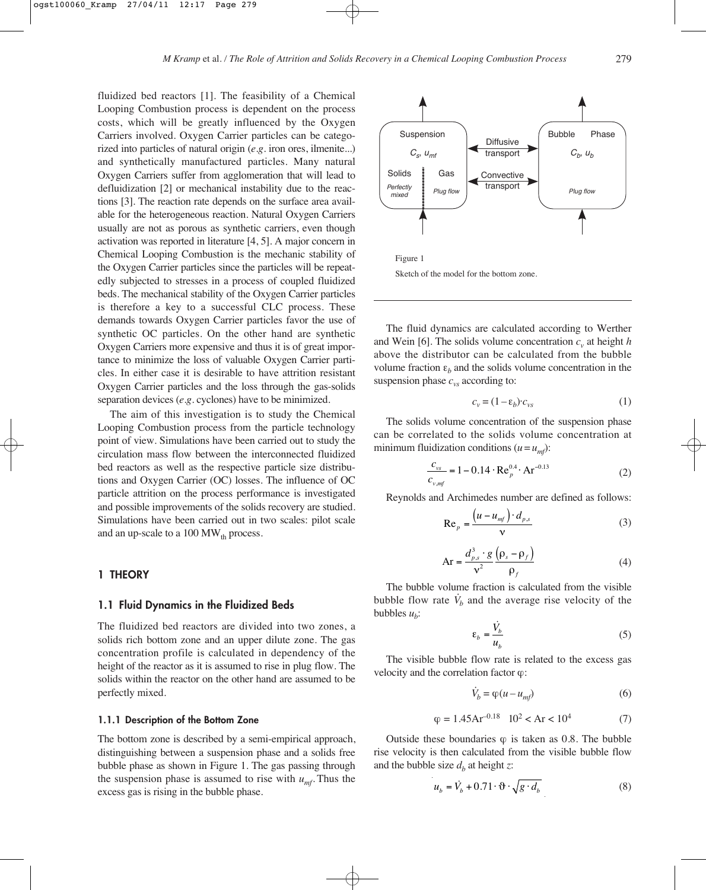fluidized bed reactors [1]. The feasibility of a Chemical Looping Combustion process is dependent on the process costs, which will be greatly influenced by the Oxygen Carriers involved. Oxygen Carrier particles can be categorized into particles of natural origin (*e*.*g*. iron ores, ilmenite...) and synthetically manufactured particles. Many natural Oxygen Carriers suffer from agglomeration that will lead to defluidization [2] or mechanical instability due to the reactions [3]. The reaction rate depends on the surface area available for the heterogeneous reaction. Natural Oxygen Carriers usually are not as porous as synthetic carriers, even though activation was reported in literature [4, 5]. A major concern in Chemical Looping Combustion is the mechanic stability of the Oxygen Carrier particles since the particles will be repeatedly subjected to stresses in a process of coupled fluidized beds. The mechanical stability of the Oxygen Carrier particles is therefore a key to a successful CLC process. These demands towards Oxygen Carrier particles favor the use of synthetic OC particles. On the other hand are synthetic Oxygen Carriers more expensive and thus it is of great importance to minimize the loss of valuable Oxygen Carrier particles. In either case it is desirable to have attrition resistant Oxygen Carrier particles and the loss through the gas-solids separation devices (*e*.*g*. cyclones) have to be minimized.

The aim of this investigation is to study the Chemical Looping Combustion process from the particle technology point of view. Simulations have been carried out to study the circulation mass flow between the interconnected fluidized bed reactors as well as the respective particle size distributions and Oxygen Carrier (OC) losses. The influence of OC particle attrition on the process performance is investigated and possible improvements of the solids recovery are studied. Simulations have been carried out in two scales: pilot scale and an up-scale to a  $100 MW_{th}$  process.

## 1 THEORY

## 1.1 Fluid Dynamics in the Fluidized Beds

The fluidized bed reactors are divided into two zones, a solids rich bottom zone and an upper dilute zone. The gas concentration profile is calculated in dependency of the height of the reactor as it is assumed to rise in plug flow. The solids within the reactor on the other hand are assumed to be perfectly mixed.

## 1.1.1 Description of the Bottom Zone

The bottom zone is described by a semi-empirical approach, distinguishing between a suspension phase and a solids free bubble phase as shown in Figure 1. The gas passing through the suspension phase is assumed to rise with  $u_{\text{mf}}$ . Thus the excess gas is rising in the bubble phase.



The fluid dynamics are calculated according to Werther and Wein [6]. The solids volume concentration  $c<sub>v</sub>$  at height *h* above the distributor can be calculated from the bubble volume fraction  $\varepsilon_b$  and the solids volume concentration in the suspension phase  $c_{vs}$  according to:

$$
c_v = (1 - \varepsilon_b) c_{vs} \tag{1}
$$

The solids volume concentration of the suspension phase can be correlated to the solids volume concentration at minimum fluidization conditions  $(u = u_{mf})$ :

$$
\frac{c_{\nu s}}{c_{\nu, mf}} = 1 - 0.14 \cdot \text{Re}_{p}^{0.4} \cdot \text{Ar}^{-0.13}
$$
 (2)

Reynolds and Archimedes number are defined as follows:

$$
\text{Re}_p = \frac{\left(u - u_{\text{mf}}\right) \cdot d_{p,s}}{\nu} \tag{3}
$$

$$
Ar = \frac{d_{p,s}^3 \cdot g}{v^2} \frac{\left(\rho_s - \rho_f\right)}{\rho_f} \tag{4}
$$

The bubble volume fraction is calculated from the visible bubble flow rate  $\dot{V}_b$  and the average rise velocity of the bubbles  $u_h$ :

$$
\varepsilon_b = \frac{\dot{V}_b}{u_b} \tag{5}
$$

The visible bubble flow rate is related to the excess gas velocity and the correlation factor  $\varphi$ :

$$
\dot{V}_b = \varphi(u - u_{mf})
$$
 (6)

$$
\varphi = 1.45 \text{Ar}^{-0.18} \quad 10^2 < \text{Ar} < 10^4 \tag{7}
$$

Outside these boundaries  $\varphi$  is taken as 0.8. The bubble rise velocity is then calculated from the visible bubble flow and the bubble size  $d<sub>b</sub>$  at height *z*:

$$
u_b = \dot{V}_b + 0.71 \cdot \vartheta \cdot \sqrt{g \cdot d_b}
$$
 (8)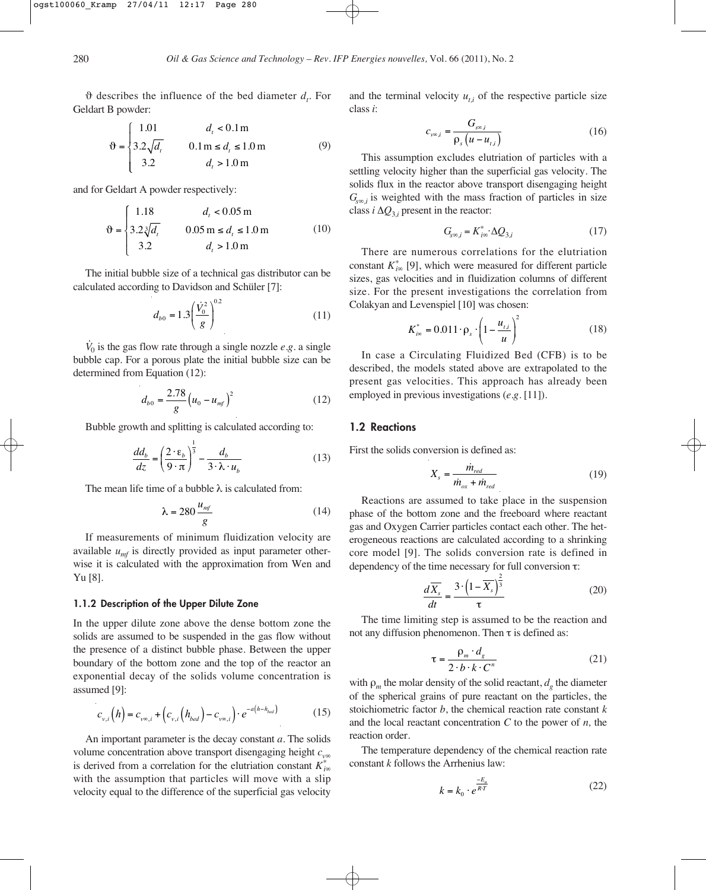$\vartheta$  describes the influence of the bed diameter  $d_t$ . For Geldart B powder:

$$
\vartheta = \begin{cases}\n1.01 & d_i < 0.1 \text{ m} \\
3.2\sqrt{d_i} & 0.1 \text{ m} \le d_i \le 1.0 \text{ m} \\
3.2 & d_i > 1.0 \text{ m}\n\end{cases}
$$
\n(9)

and for Geldart A powder respectively:

$$
\vartheta = \begin{cases}\n1.18 & d_t < 0.05 \text{ m} \\
3.2\sqrt[3]{d_t} & 0.05 \text{ m} \le d_t \le 1.0 \text{ m} \\
3.2 & d_t > 1.0 \text{ m}\n\end{cases}
$$
\n(10)

The initial bubble size of a technical gas distributor can be calculated according to Davidson and Schüler [7]:

$$
d_{b0} = 1.3 \left(\frac{\dot{V}_0^2}{g}\right)^{0.2} \tag{11}
$$

 $\dot{V}_0$  is the gas flow rate through a single nozzle *e.g.* a single bubble cap. For a porous plate the initial bubble size can be determined from Equation (12):

$$
d_{b0} = \frac{2.78}{g} \left( u_0 - u_{mf} \right)^2 \tag{12}
$$

Bubble growth and splitting is calculated according to:

$$
\frac{dd_b}{dz} = \left(\frac{2 \cdot \varepsilon_b}{9 \cdot \pi}\right)^{\frac{1}{3}} - \frac{d_b}{3 \cdot \lambda \cdot u_b} \tag{13}
$$

The mean life time of a bubble  $\lambda$  is calculated from:

$$
\lambda = 280 \frac{u_{mf}}{g} \tag{14}
$$

If measurements of minimum fluidization velocity are available  $u_{mf}$  is directly provided as input parameter otherwise it is calculated with the approximation from Wen and Yu [8].

#### 1.1.2 Description of the Upper Dilute Zone

In the upper dilute zone above the dense bottom zone the solids are assumed to be suspended in the gas flow without the presence of a distinct bubble phase. Between the upper boundary of the bottom zone and the top of the reactor an exponential decay of the solids volume concentration is assumed [9]:

$$
c_{v,i}(h) = c_{v\infty,i} + (c_{v,i}(h_{bed}) - c_{v\infty,i}) \cdot e^{-a(h-h_{bed})}
$$
 (15)

An important parameter is the decay constant *a*. The solids volume concentration above transport disengaging height *cv*<sup>∞</sup> is derived from a correlation for the elutriation constant  $K^*_{i\infty}$ with the assumption that particles will move with a slip velocity equal to the difference of the superficial gas velocity

and the terminal velocity  $u_{t,i}$  of the respective particle size class *i*:

$$
c_{\text{vac},i} = \frac{G_{\text{sec},i}}{\rho_s \left( u - u_{t,i} \right)} \tag{16}
$$

This assumption excludes elutriation of particles with a settling velocity higher than the superficial gas velocity. The solids flux in the reactor above transport disengaging height  $G_{\infty i}$  is weighted with the mass fraction of particles in size class  $i \Delta Q_{3,i}$  present in the reactor:

$$
G_{s\infty,i} = K_{i\infty}^* \cdot \Delta Q_{3,i} \tag{17}
$$

There are numerous correlations for the elutriation constant  $K^*_{i\infty}$  [9], which were measured for different particle sizes, gas velocities and in fluidization columns of different size. For the present investigations the correlation from Colakyan and Levenspiel [10] was chosen:

$$
K_{i\infty}^{*} = 0.011 \cdot \rho_s \cdot \left(1 - \frac{u_{t,i}}{u}\right)^2 \tag{18}
$$

In case a Circulating Fluidized Bed (CFB) is to be described, the models stated above are extrapolated to the present gas velocities. This approach has already been employed in previous investigations (*e*.*g*. [11]).

## 1.2 Reactions

First the solids conversion is defined as:

$$
X_s = \frac{\dot{m}_{red}}{\dot{m}_{ox} + \dot{m}_{red}}\tag{19}
$$

Reactions are assumed to take place in the suspension phase of the bottom zone and the freeboard where reactant gas and Oxygen Carrier particles contact each other. The heterogeneous reactions are calculated according to a shrinking core model [9]. The solids conversion rate is defined in dependency of the time necessary for full conversion τ:

$$
\frac{d\overline{X}_s}{dt} = \frac{3 \cdot \left(1 - \overline{X}_s\right)^{\frac{2}{3}}}{\tau}
$$
(20)

The time limiting step is assumed to be the reaction and not any diffusion phenomenon. Then τ is defined as:

$$
\tau = \frac{\rho_m \cdot d_g}{2 \cdot b \cdot k \cdot C^n} \tag{21}
$$

with  $\rho_m$  the molar density of the solid reactant,  $d_g$  the diameter of the spherical grains of pure reactant on the particles, the stoichiometric factor *b*, the chemical reaction rate constant *k* and the local reactant concentration *C* to the power of *n,* the reaction order.

The temperature dependency of the chemical reaction rate constant *k* follows the Arrhenius law:

$$
k = k_0 \cdot e^{\frac{-E_a}{RT}} \tag{22}
$$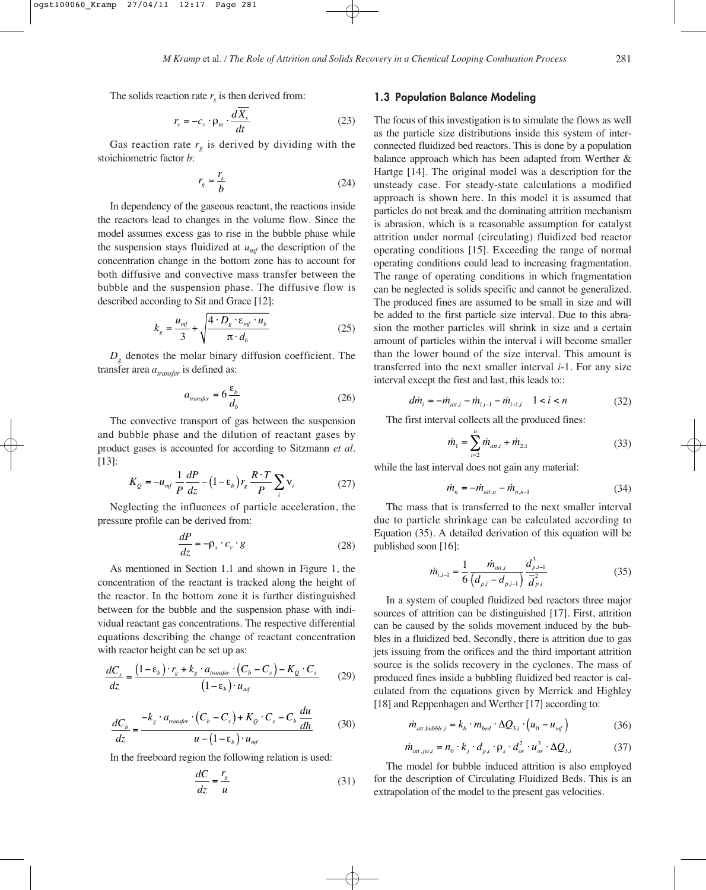The solids reaction rate  $r<sub>s</sub>$  is then derived from:

$$
r_s = -c_v \cdot \rho_m \cdot \frac{dX_s}{dt} \tag{23}
$$

Gas reaction rate  $r_g$  is derived by dividing with the stoichiometric factor *b*:

$$
r_g = \frac{r_s}{b} \tag{24}
$$

In dependency of the gaseous reactant, the reactions inside the reactors lead to changes in the volume flow. Since the model assumes excess gas to rise in the bubble phase while the suspension stays fluidized at  $u_{\text{mf}}$  the description of the concentration change in the bottom zone has to account for both diffusive and convective mass transfer between the bubble and the suspension phase. The diffusive flow is described according to Sit and Grace [12]:

$$
k_g = \frac{u_{mf}}{3} + \sqrt{\frac{4 \cdot D_g \cdot \varepsilon_{mf} \cdot u_b}{\pi \cdot d_b}}
$$
 (25)

*Dg* denotes the molar binary diffusion coefficient. The transfer area *atransfer* is defined as:

$$
a_{\text{transfer}} = 6 \frac{\varepsilon_b}{d_b} \tag{26}
$$

The convective transport of gas between the suspension and bubble phase and the dilution of reactant gases by product gases is accounted for according to Sitzmann *et al.* [13]:

$$
K_Q = -u_{mf} \frac{1}{P} \frac{dP}{dz} - (1 - \varepsilon_b) r_g \frac{R \cdot T}{P} \sum_i v_i
$$
 (27)

Neglecting the influences of particle acceleration, the pressure profile can be derived from:

$$
\frac{dP}{dz} = -\rho_s \cdot c_v \cdot g \tag{28}
$$

As mentioned in Section 1.1 and shown in Figure 1, the concentration of the reactant is tracked along the height of the reactor. In the bottom zone it is further distinguished between for the bubble and the suspension phase with individual reactant gas concentrations. The respective differential equations describing the change of reactant concentration with reactor height can be set up as:

$$
\frac{dC_s}{dz} = \frac{\left(1 - \varepsilon_b\right) \cdot r_g + k_g \cdot a_{\text{transfer}} \cdot \left(C_b - C_s\right) - K_Q \cdot C_s}{\left(1 - \varepsilon_b\right) \cdot u_{\text{mf}}}
$$
(29)

$$
\frac{dC_b}{dz} = \frac{-k_s \cdot a_{\text{transfer}} \cdot (C_b - C_s) + K_Q \cdot C_s - C_b \frac{du}{dh}}{u - (1 - \varepsilon_b) \cdot u_{\text{mf}}}
$$
(30)

In the freeboard region the following relation is used:

$$
\frac{dC}{dz} = \frac{r_s}{u} \tag{31}
$$

## 1.3 Population Balance Modeling

The focus of this investigation is to simulate the flows as well as the particle size distributions inside this system of interconnected fluidized bed reactors. This is done by a population balance approach which has been adapted from Werther & Hartge [14]. The original model was a description for the unsteady case. For steady-state calculations a modified approach is shown here. In this model it is assumed that particles do not break and the dominating attrition mechanism is abrasion, which is a reasonable assumption for catalyst attrition under normal (circulating) fluidized bed reactor operating conditions [15]. Exceeding the range of normal operating conditions could lead to increasing fragmentation. The range of operating conditions in which fragmentation can be neglected is solids specific and cannot be generalized. The produced fines are assumed to be small in size and will be added to the first particle size interval. Due to this abrasion the mother particles will shrink in size and a certain amount of particles within the interval i will become smaller than the lower bound of the size interval. This amount is transferred into the next smaller interval *i*-1. For any size interval except the first and last, this leads to::

$$
d\dot{m}_i = -\dot{m}_{at,i} - \dot{m}_{i,i-1} - \dot{m}_{i+1,i} \quad 1 < i < n \tag{32}
$$

The first interval collects all the produced fines:

$$
\dot{m}_1 = \sum_{i=2}^n \dot{m}_{a n,i} + \dot{m}_{2,1} \tag{33}
$$

while the last interval does not gain any material:

$$
\dot{m}_n = -\dot{m}_{at,n} - \dot{m}_{n,n-1} \tag{34}
$$

The mass that is transferred to the next smaller interval due to particle shrinkage can be calculated according to Equation (35). A detailed derivation of this equation will be published soon [16]:

$$
\dot{m}_{i,i-1} = \frac{1}{6} \frac{\dot{m}_{\text{ant},i}}{\left(d_{p,i} - d_{p,i-1}\right)} \frac{d_{p,i-1}^3}{\overline{d}_{p,i}^2} \tag{35}
$$

In a system of coupled fluidized bed reactors three major sources of attrition can be distinguished [17]. First, attrition can be caused by the solids movement induced by the bubbles in a fluidized bed. Secondly, there is attrition due to gas jets issuing from the orifices and the third important attrition source is the solids recovery in the cyclones. The mass of produced fines inside a bubbling fluidized bed reactor is calculated from the equations given by Merrick and Highley [18] and Reppenhagen and Werther [17] according to:

$$
\dot{m}_{_{att,bubble,i}} = k_b \cdot m_{bed} \cdot \Delta Q_{3,i} \cdot \left(u_0 - u_{mf}\right) \tag{36}
$$

$$
\dot{m}_{at,jet,i} = n_0 \cdot k_j \cdot d_{p,i} \cdot \rho_s \cdot d_{or}^2 \cdot u_{or}^3 \cdot \Delta Q_{3,i}
$$
 (37)

The model for bubble induced attrition is also employed for the description of Circulating Fluidized Beds. This is an extrapolation of the model to the present gas velocities.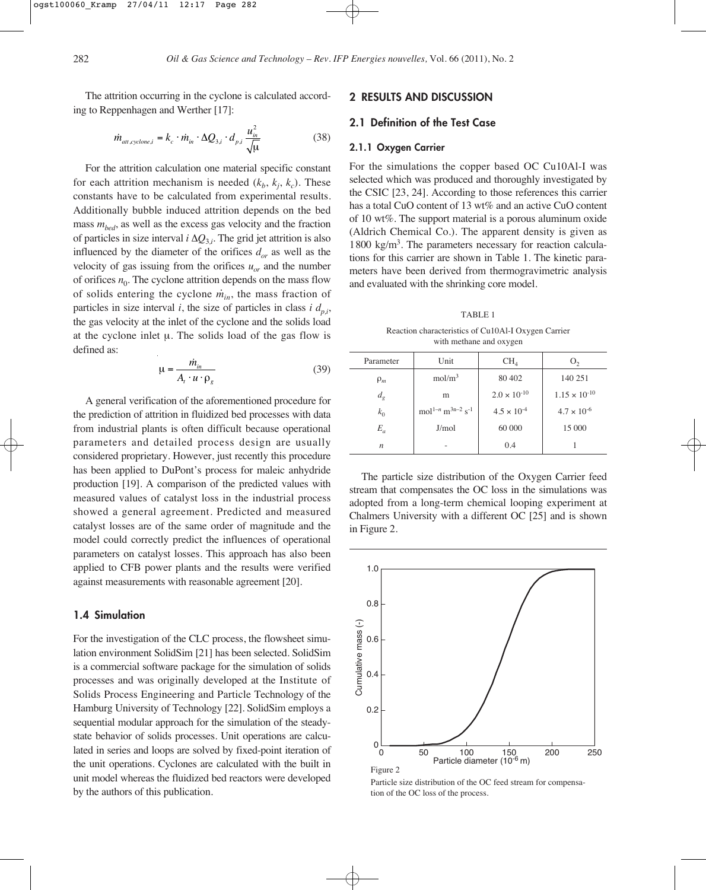The attrition occurring in the cyclone is calculated according to Reppenhagen and Werther [17]:

$$
\dot{m}_{_{att,cyclone,i}} = k_c \cdot \dot{m}_{_{in}} \cdot \Delta Q_{3,i} \cdot d_{p,i} \frac{u_{_{in}}^2}{\sqrt{\mu}}
$$
(38)

For the attrition calculation one material specific constant for each attrition mechanism is needed  $(k_b, k_j, k_c)$ . These constants have to be calculated from experimental results. Additionally bubble induced attrition depends on the bed mass  $m_{\text{bed}}$ , as well as the excess gas velocity and the fraction of particles in size interval  $i \Delta Q_{3,i}$ . The grid jet attrition is also influenced by the diameter of the orifices  $d_{or}$  as well as the velocity of gas issuing from the orifices  $u_{or}$  and the number of orifices  $n_0$ . The cyclone attrition depends on the mass flow of solids entering the cyclone *m*⋅ *in*, the mass fraction of particles in size interval *i*, the size of particles in class  $i d_{ni}$ , the gas velocity at the inlet of the cyclone and the solids load at the cyclone inlet  $\mu$ . The solids load of the gas flow is defined as:

$$
\mu = \frac{\dot{m}_{in}}{A_i \cdot u \cdot \rho_g} \tag{39}
$$

A general verification of the aforementioned procedure for the prediction of attrition in fluidized bed processes with data from industrial plants is often difficult because operational parameters and detailed process design are usually considered proprietary. However, just recently this procedure has been applied to DuPont's process for maleic anhydride production [19]. A comparison of the predicted values with measured values of catalyst loss in the industrial process showed a general agreement. Predicted and measured catalyst losses are of the same order of magnitude and the model could correctly predict the influences of operational parameters on catalyst losses. This approach has also been applied to CFB power plants and the results were verified against measurements with reasonable agreement [20].

## 1.4 Simulation

For the investigation of the CLC process, the flowsheet simulation environment SolidSim [21] has been selected. SolidSim is a commercial software package for the simulation of solids processes and was originally developed at the Institute of Solids Process Engineering and Particle Technology of the Hamburg University of Technology [22]. SolidSim employs a sequential modular approach for the simulation of the steadystate behavior of solids processes. Unit operations are calculated in series and loops are solved by fixed-point iteration of the unit operations. Cyclones are calculated with the built in unit model whereas the fluidized bed reactors were developed by the authors of this publication.

## 2 RESULTS AND DISCUSSION

## 2.1 Definition of the Test Case

#### 2.1.1 Oxygen Carrier

For the simulations the copper based OC Cu10Al-I was selected which was produced and thoroughly investigated by the CSIC [23, 24]. According to those references this carrier has a total CuO content of 13 wt% and an active CuO content of 10 wt%. The support material is a porous aluminum oxide (Aldrich Chemical Co.). The apparent density is given as 1800 kg/m3. The parameters necessary for reaction calculations for this carrier are shown in Table 1. The kinetic parameters have been derived from thermogravimetric analysis and evaluated with the shrinking core model.

TABLE 1 Reaction characteristics of Cu10Al-I Oxygen Carrier with methane and oxygen

| Parameter | Unit                        | CH <sub>4</sub>       | O <sub>2</sub>         |
|-----------|-----------------------------|-----------------------|------------------------|
| $\rho_m$  | mol/m <sup>3</sup>          | 80 402                | 140 251                |
| $d_{g}$   | m                           | $2.0 \times 10^{-10}$ | $1.15 \times 10^{-10}$ |
| $k_0$     | $mol^{1-n} m^{3n-2} s^{-1}$ | $4.5 \times 10^{-4}$  | $4.7 \times 10^{-6}$   |
| $E_a$     | J/mol                       | 60 000                | 15 000                 |
| n         |                             | 0.4                   |                        |

The particle size distribution of the Oxygen Carrier feed stream that compensates the OC loss in the simulations was adopted from a long-term chemical looping experiment at Chalmers University with a different OC [25] and is shown in Figure 2.



Particle size distribution of the OC feed stream for compensation of the OC loss of the process.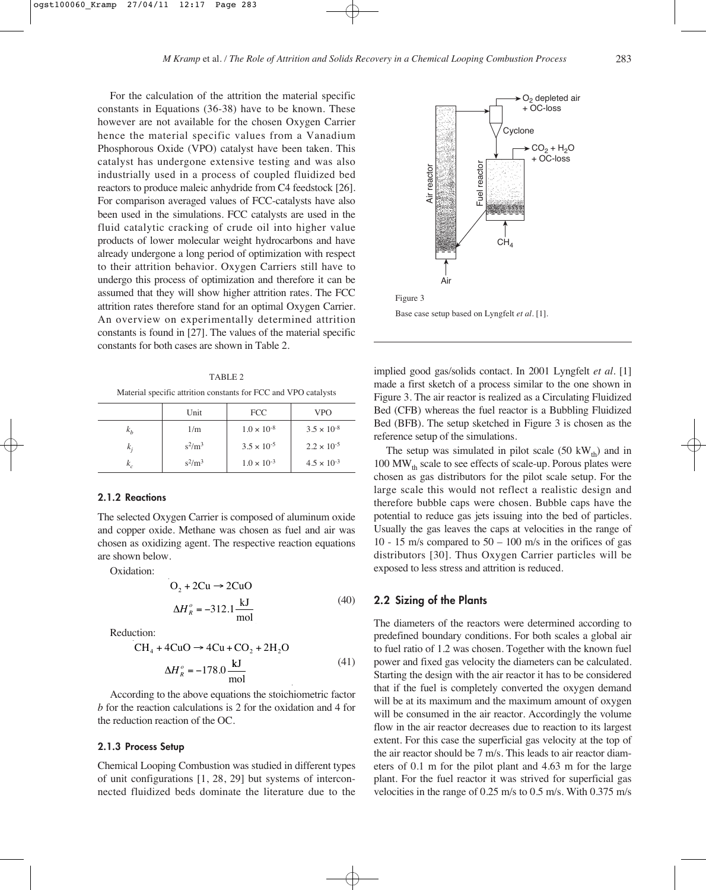For the calculation of the attrition the material specific constants in Equations (36-38) have to be known. These however are not available for the chosen Oxygen Carrier hence the material specific values from a Vanadium Phosphorous Oxide (VPO) catalyst have been taken. This catalyst has undergone extensive testing and was also industrially used in a process of coupled fluidized bed reactors to produce maleic anhydride from C4 feedstock [26]. For comparison averaged values of FCC-catalysts have also been used in the simulations. FCC catalysts are used in the fluid catalytic cracking of crude oil into higher value products of lower molecular weight hydrocarbons and have already undergone a long period of optimization with respect to their attrition behavior. Oxygen Carriers still have to undergo this process of optimization and therefore it can be assumed that they will show higher attrition rates. The FCC attrition rates therefore stand for an optimal Oxygen Carrier. An overview on experimentally determined attrition constants is found in [27]. The values of the material specific constants for both cases are shown in Table 2.

TABLE 2

Material specific attrition constants for FCC and VPO catalysts

|       | Unit      | <b>FCC</b>           | <b>VPO</b>           |
|-------|-----------|----------------------|----------------------|
| $k_h$ | 1/m       | $1.0 \times 10^{-8}$ | $3.5 \times 10^{-8}$ |
| $k_i$ | $s^2/m^3$ | $3.5 \times 10^{-5}$ | $2.2 \times 10^{-5}$ |
| $K_c$ | $s^2/m^3$ | $1.0 \times 10^{-3}$ | $4.5 \times 10^{-3}$ |

#### 2.1.2 Reactions

The selected Oxygen Carrier is composed of aluminum oxide and copper oxide. Methane was chosen as fuel and air was chosen as oxidizing agent. The respective reaction equations are shown below.

Oxidation:

$$
O2 + 2Cu \rightarrow 2CuO
$$
  
\n
$$
\Delta HRo = -312.1 \frac{kJ}{mol}
$$
 (40)

Reduction:

$$
CH4 + 4CuO \rightarrow 4Cu + CO2 + 2H2O
$$
  

$$
\Delta HRo = -178.0 \frac{kJ}{mol}
$$
 (41)

According to the above equations the stoichiometric factor *b* for the reaction calculations is 2 for the oxidation and 4 for the reduction reaction of the OC.

#### 2.1.3 Process Setup

Chemical Looping Combustion was studied in different types of unit configurations [1, 28, 29] but systems of interconnected fluidized beds dominate the literature due to the



Base case setup based on Lyngfelt *et al.* [1].

implied good gas/solids contact. In 2001 Lyngfelt *et al.* [1] made a first sketch of a process similar to the one shown in Figure 3. The air reactor is realized as a Circulating Fluidized Bed (CFB) whereas the fuel reactor is a Bubbling Fluidized Bed (BFB). The setup sketched in Figure 3 is chosen as the reference setup of the simulations.

The setup was simulated in pilot scale  $(50 \text{ kW}_{th})$  and in  $100 \text{ MW}_{\text{th}}$  scale to see effects of scale-up. Porous plates were chosen as gas distributors for the pilot scale setup. For the large scale this would not reflect a realistic design and therefore bubble caps were chosen. Bubble caps have the potential to reduce gas jets issuing into the bed of particles. Usually the gas leaves the caps at velocities in the range of 10 - 15 m/s compared to  $50 - 100$  m/s in the orifices of gas distributors [30]. Thus Oxygen Carrier particles will be exposed to less stress and attrition is reduced.

## 2.2 Sizing of the Plants

The diameters of the reactors were determined according to predefined boundary conditions. For both scales a global air to fuel ratio of 1.2 was chosen. Together with the known fuel power and fixed gas velocity the diameters can be calculated. Starting the design with the air reactor it has to be considered that if the fuel is completely converted the oxygen demand will be at its maximum and the maximum amount of oxygen will be consumed in the air reactor. Accordingly the volume flow in the air reactor decreases due to reaction to its largest extent. For this case the superficial gas velocity at the top of the air reactor should be 7 m/s. This leads to air reactor diameters of 0.1 m for the pilot plant and 4.63 m for the large plant. For the fuel reactor it was strived for superficial gas velocities in the range of 0.25 m/s to 0.5 m/s. With 0.375 m/s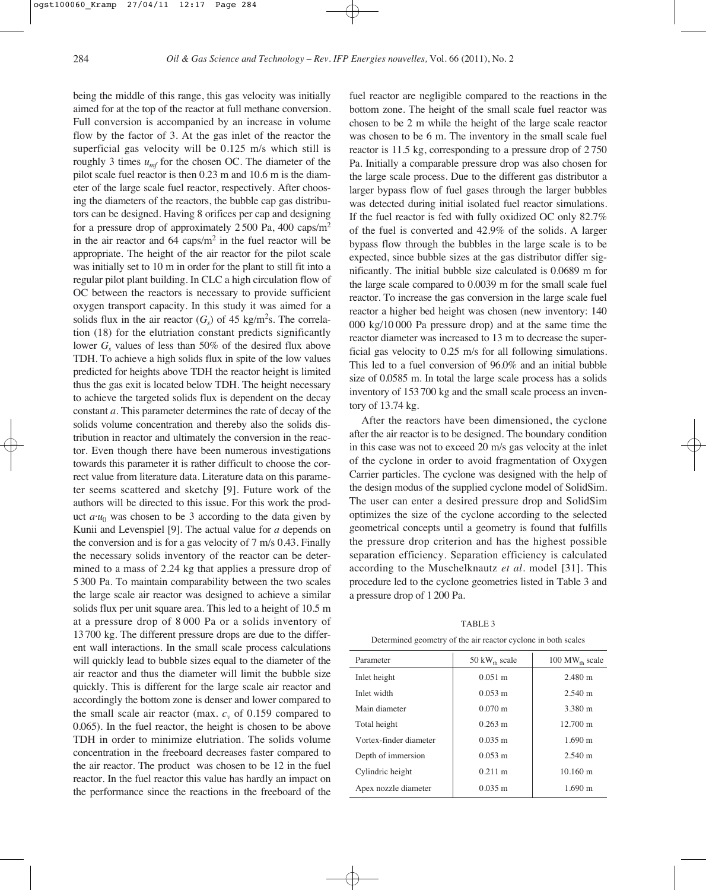being the middle of this range, this gas velocity was initially aimed for at the top of the reactor at full methane conversion. Full conversion is accompanied by an increase in volume flow by the factor of 3. At the gas inlet of the reactor the superficial gas velocity will be 0.125 m/s which still is roughly 3 times  $u_{\text{mf}}$  for the chosen OC. The diameter of the pilot scale fuel reactor is then 0.23 m and 10.6 m is the diameter of the large scale fuel reactor, respectively. After choosing the diameters of the reactors, the bubble cap gas distributors can be designed. Having 8 orifices per cap and designing for a pressure drop of approximately 2 500 Pa, 400 caps/m2 in the air reactor and  $64 \text{ caps/m}^2$  in the fuel reactor will be appropriate. The height of the air reactor for the pilot scale was initially set to 10 m in order for the plant to still fit into a regular pilot plant building. In CLC a high circulation flow of OC between the reactors is necessary to provide sufficient oxygen transport capacity. In this study it was aimed for a solids flux in the air reactor  $(G<sub>s</sub>)$  of 45 kg/m<sup>2</sup>s. The correlation (18) for the elutriation constant predicts significantly lower  $G_s$  values of less than 50% of the desired flux above TDH. To achieve a high solids flux in spite of the low values predicted for heights above TDH the reactor height is limited thus the gas exit is located below TDH. The height necessary to achieve the targeted solids flux is dependent on the decay constant *a*. This parameter determines the rate of decay of the solids volume concentration and thereby also the solids distribution in reactor and ultimately the conversion in the reactor. Even though there have been numerous investigations towards this parameter it is rather difficult to choose the correct value from literature data. Literature data on this parameter seems scattered and sketchy [9]. Future work of the authors will be directed to this issue. For this work the product  $a \cdot u_0$  was chosen to be 3 according to the data given by Kunii and Levenspiel [9]. The actual value for *a* depends on the conversion and is for a gas velocity of 7 m/s 0.43. Finally the necessary solids inventory of the reactor can be determined to a mass of 2.24 kg that applies a pressure drop of 5 300 Pa. To maintain comparability between the two scales the large scale air reactor was designed to achieve a similar solids flux per unit square area. This led to a height of 10.5 m at a pressure drop of 8 000 Pa or a solids inventory of 13 700 kg. The different pressure drops are due to the different wall interactions. In the small scale process calculations will quickly lead to bubble sizes equal to the diameter of the air reactor and thus the diameter will limit the bubble size quickly. This is different for the large scale air reactor and accordingly the bottom zone is denser and lower compared to the small scale air reactor (max.  $c_v$  of 0.159 compared to 0.065). In the fuel reactor, the height is chosen to be above TDH in order to minimize elutriation. The solids volume concentration in the freeboard decreases faster compared to the air reactor. The product was chosen to be 12 in the fuel reactor. In the fuel reactor this value has hardly an impact on the performance since the reactions in the freeboard of the

fuel reactor are negligible compared to the reactions in the bottom zone. The height of the small scale fuel reactor was chosen to be 2 m while the height of the large scale reactor was chosen to be 6 m. The inventory in the small scale fuel reactor is 11.5 kg, corresponding to a pressure drop of 2 750 Pa. Initially a comparable pressure drop was also chosen for the large scale process. Due to the different gas distributor a larger bypass flow of fuel gases through the larger bubbles was detected during initial isolated fuel reactor simulations. If the fuel reactor is fed with fully oxidized OC only 82.7% of the fuel is converted and 42.9% of the solids. A larger bypass flow through the bubbles in the large scale is to be expected, since bubble sizes at the gas distributor differ significantly. The initial bubble size calculated is 0.0689 m for the large scale compared to 0.0039 m for the small scale fuel reactor. To increase the gas conversion in the large scale fuel reactor a higher bed height was chosen (new inventory: 140 000 kg/10 000 Pa pressure drop) and at the same time the reactor diameter was increased to 13 m to decrease the superficial gas velocity to 0.25 m/s for all following simulations. This led to a fuel conversion of 96.0% and an initial bubble size of 0.0585 m. In total the large scale process has a solids inventory of 153 700 kg and the small scale process an inventory of 13.74 kg.

After the reactors have been dimensioned, the cyclone after the air reactor is to be designed. The boundary condition in this case was not to exceed 20 m/s gas velocity at the inlet of the cyclone in order to avoid fragmentation of Oxygen Carrier particles. The cyclone was designed with the help of the design modus of the supplied cyclone model of SolidSim. The user can enter a desired pressure drop and SolidSim optimizes the size of the cyclone according to the selected geometrical concepts until a geometry is found that fulfills the pressure drop criterion and has the highest possible separation efficiency. Separation efficiency is calculated according to the Muschelknautz *et al.* model [31]. This procedure led to the cyclone geometries listed in Table 3 and a pressure drop of 1 200 Pa.

| Determined geometry of the air reactor cyclone in both scales |                           |                     |  |  |  |  |
|---------------------------------------------------------------|---------------------------|---------------------|--|--|--|--|
| Parameter                                                     | 50 kW <sub>th</sub> scale | 100 $MW_{th}$ scale |  |  |  |  |
| Inlet height                                                  | $0.051 \text{ m}$         | $2.480 \text{ m}$   |  |  |  |  |
| Inlet width                                                   | $0.053 \; \text{m}$       | $2.540 \text{ m}$   |  |  |  |  |
| Main diameter                                                 | $0.070 \text{ m}$         | 3.380 m             |  |  |  |  |
| Total height                                                  | $0.263$ m                 | $12.700 \text{ m}$  |  |  |  |  |
| Vortex-finder diameter                                        | $0.035$ m                 | $1.690 \text{ m}$   |  |  |  |  |
| Depth of immersion                                            | $0.053 \; \text{m}$       | $2.540 \text{ m}$   |  |  |  |  |
| Cylindric height                                              | $0.211 \text{ m}$         | $10.160 \text{ m}$  |  |  |  |  |
| Apex nozzle diameter                                          | $0.035$ m                 | $1.690 \text{ m}$   |  |  |  |  |
|                                                               |                           |                     |  |  |  |  |

TABLE 3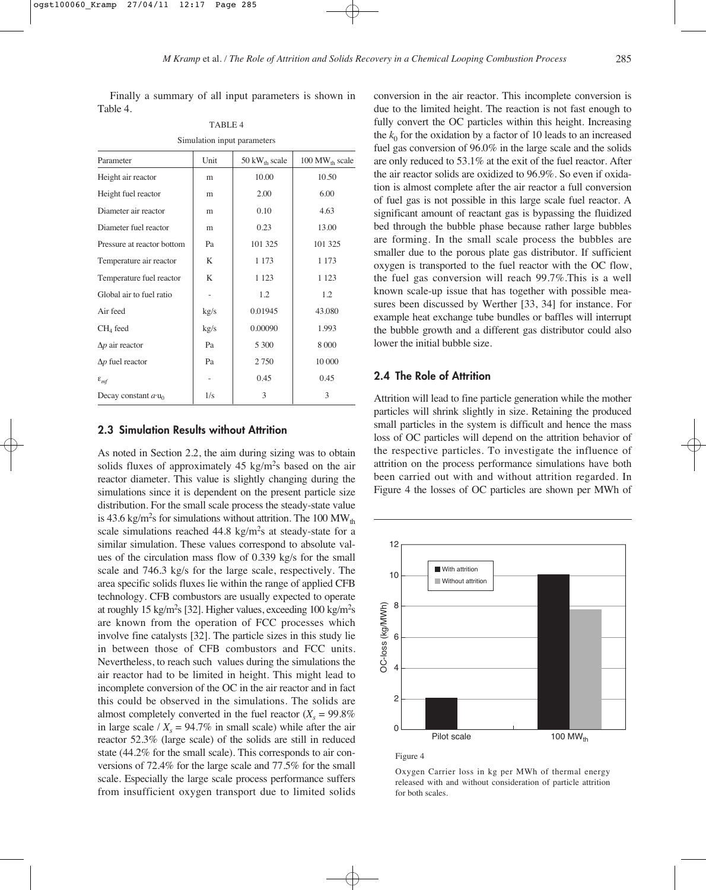Finally a summary of all input parameters is shown in Table 4.

| Sunuration input parameters           |      |                           |                            |  |  |  |
|---------------------------------------|------|---------------------------|----------------------------|--|--|--|
| Parameter                             | Unit | 50 kW <sub>th</sub> scale | 100 MW <sub>th</sub> scale |  |  |  |
| Height air reactor                    | m    | 10.00                     | 10.50                      |  |  |  |
| Height fuel reactor                   | m    | 2.00                      | 6.00                       |  |  |  |
| Diameter air reactor                  | m    | 0.10                      | 4.63                       |  |  |  |
| Diameter fuel reactor                 | m    | 0.23                      | 13.00                      |  |  |  |
| Pressure at reactor bottom            | Pa   | 101 325                   | 101 325                    |  |  |  |
| Temperature air reactor               | K    | 1 1 7 3                   | 1 1 7 3                    |  |  |  |
| Temperature fuel reactor              | K    | 1 1 2 3                   | 1 1 2 3                    |  |  |  |
| Global air to fuel ratio              |      | 1.2                       | 1.2                        |  |  |  |
| Air feed                              | kg/s | 0.01945                   | 43.080                     |  |  |  |
| $CH4$ feed                            | kg/s | 0.00090                   | 1.993                      |  |  |  |
| $\Delta p$ air reactor                | Pa   | 5 300                     | 8 0 0 0                    |  |  |  |
| $\Delta p$ fuel reactor               | Pa   | 2 7 5 0                   | 10 000                     |  |  |  |
| $\boldsymbol{\epsilon}_{\textit{mf}}$ |      | 0.45                      | 0.45                       |  |  |  |
| Decay constant $a \cdot u_0$          | 1/s  | 3                         | 3                          |  |  |  |

TABLE 4 Simulation input parameters

## 2.3 Simulation Results without Attrition

As noted in Section 2.2, the aim during sizing was to obtain solids fluxes of approximately  $45 \text{ kg/m}^2$  based on the air reactor diameter. This value is slightly changing during the simulations since it is dependent on the present particle size distribution. For the small scale process the steady-state value is 43.6 kg/m<sup>2</sup>s for simulations without attrition. The 100 MW<sub>th</sub> scale simulations reached  $44.8 \text{ kg/m}^2$ s at steady-state for a similar simulation. These values correspond to absolute values of the circulation mass flow of 0.339 kg/s for the small scale and 746.3 kg/s for the large scale, respectively. The area specific solids fluxes lie within the range of applied CFB technology. CFB combustors are usually expected to operate at roughly 15 kg/m<sup>2</sup>s [32]. Higher values, exceeding 100 kg/m<sup>2</sup>s are known from the operation of FCC processes which involve fine catalysts [32]. The particle sizes in this study lie in between those of CFB combustors and FCC units. Nevertheless, to reach such values during the simulations the air reactor had to be limited in height. This might lead to incomplete conversion of the OC in the air reactor and in fact this could be observed in the simulations. The solids are almost completely converted in the fuel reactor  $(X_s = 99.8\%)$ in large scale /  $X_s = 94.7\%$  in small scale) while after the air reactor 52.3% (large scale) of the solids are still in reduced state (44.2% for the small scale). This corresponds to air conversions of 72.4% for the large scale and 77.5% for the small scale. Especially the large scale process performance suffers from insufficient oxygen transport due to limited solids conversion in the air reactor. This incomplete conversion is due to the limited height. The reaction is not fast enough to fully convert the OC particles within this height. Increasing the  $k_0$  for the oxidation by a factor of 10 leads to an increased fuel gas conversion of 96.0% in the large scale and the solids are only reduced to 53.1% at the exit of the fuel reactor. After the air reactor solids are oxidized to 96.9%. So even if oxidation is almost complete after the air reactor a full conversion of fuel gas is not possible in this large scale fuel reactor. A significant amount of reactant gas is bypassing the fluidized bed through the bubble phase because rather large bubbles are forming. In the small scale process the bubbles are smaller due to the porous plate gas distributor. If sufficient oxygen is transported to the fuel reactor with the OC flow, the fuel gas conversion will reach 99.7%.This is a well known scale-up issue that has together with possible measures been discussed by Werther [33, 34] for instance. For example heat exchange tube bundles or baffles will interrupt the bubble growth and a different gas distributor could also lower the initial bubble size.

# 2.4 The Role of Attrition

Attrition will lead to fine particle generation while the mother particles will shrink slightly in size. Retaining the produced small particles in the system is difficult and hence the mass loss of OC particles will depend on the attrition behavior of the respective particles. To investigate the influence of attrition on the process performance simulations have both been carried out with and without attrition regarded. In Figure 4 the losses of OC particles are shown per MWh of



Figure 4

Oxygen Carrier loss in kg per MWh of thermal energy released with and without consideration of particle attrition for both scales.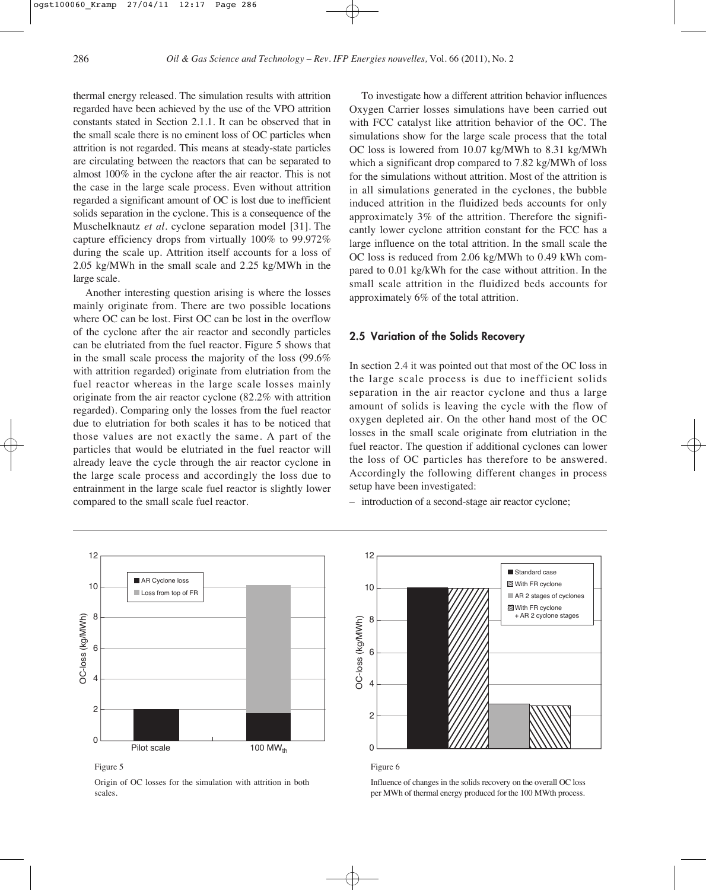thermal energy released. The simulation results with attrition regarded have been achieved by the use of the VPO attrition constants stated in Section 2.1.1. It can be observed that in the small scale there is no eminent loss of OC particles when attrition is not regarded. This means at steady-state particles are circulating between the reactors that can be separated to almost 100% in the cyclone after the air reactor. This is not the case in the large scale process. Even without attrition regarded a significant amount of OC is lost due to inefficient solids separation in the cyclone. This is a consequence of the Muschelknautz *et al.* cyclone separation model [31]. The capture efficiency drops from virtually 100% to 99.972% during the scale up. Attrition itself accounts for a loss of 2.05 kg/MWh in the small scale and 2.25 kg/MWh in the large scale.

Another interesting question arising is where the losses mainly originate from. There are two possible locations where OC can be lost. First OC can be lost in the overflow of the cyclone after the air reactor and secondly particles can be elutriated from the fuel reactor. Figure 5 shows that in the small scale process the majority of the loss (99.6% with attrition regarded) originate from elutriation from the fuel reactor whereas in the large scale losses mainly originate from the air reactor cyclone (82.2% with attrition regarded). Comparing only the losses from the fuel reactor due to elutriation for both scales it has to be noticed that those values are not exactly the same. A part of the particles that would be elutriated in the fuel reactor will already leave the cycle through the air reactor cyclone in the large scale process and accordingly the loss due to entrainment in the large scale fuel reactor is slightly lower compared to the small scale fuel reactor.

To investigate how a different attrition behavior influences Oxygen Carrier losses simulations have been carried out with FCC catalyst like attrition behavior of the OC. The simulations show for the large scale process that the total OC loss is lowered from 10.07 kg/MWh to 8.31 kg/MWh which a significant drop compared to 7.82 kg/MWh of loss for the simulations without attrition. Most of the attrition is in all simulations generated in the cyclones, the bubble induced attrition in the fluidized beds accounts for only approximately 3% of the attrition. Therefore the significantly lower cyclone attrition constant for the FCC has a large influence on the total attrition. In the small scale the OC loss is reduced from 2.06 kg/MWh to 0.49 kWh compared to 0.01 kg/kWh for the case without attrition. In the small scale attrition in the fluidized beds accounts for approximately 6% of the total attrition.

## 2.5 Variation of the Solids Recovery

In section 2.4 it was pointed out that most of the OC loss in the large scale process is due to inefficient solids separation in the air reactor cyclone and thus a large amount of solids is leaving the cycle with the flow of oxygen depleted air. On the other hand most of the OC losses in the small scale originate from elutriation in the fuel reactor. The question if additional cyclones can lower the loss of OC particles has therefore to be answered. Accordingly the following different changes in process setup have been investigated:

– introduction of a second-stage air reactor cyclone;



Figure 5

Origin of OC losses for the simulation with attrition in both scales.





Influence of changes in the solids recovery on the overall OC loss per MWh of thermal energy produced for the 100 MWth process.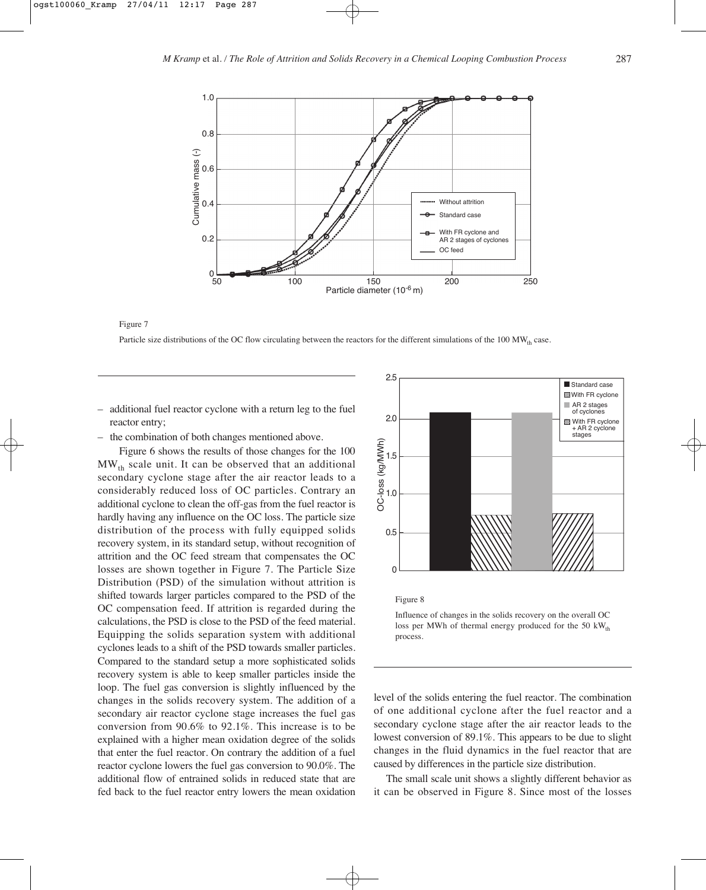

#### Figure 7

Particle size distributions of the OC flow circulating between the reactors for the different simulations of the  $100 \text{ MW}_{th}$  case.

- additional fuel reactor cyclone with a return leg to the fuel reactor entry;
- the combination of both changes mentioned above.

Figure 6 shows the results of those changes for the 100  $MW_{th}$  scale unit. It can be observed that an additional secondary cyclone stage after the air reactor leads to a considerably reduced loss of OC particles. Contrary an additional cyclone to clean the off-gas from the fuel reactor is hardly having any influence on the OC loss. The particle size distribution of the process with fully equipped solids recovery system, in its standard setup, without recognition of attrition and the OC feed stream that compensates the OC losses are shown together in Figure 7. The Particle Size Distribution (PSD) of the simulation without attrition is shifted towards larger particles compared to the PSD of the OC compensation feed. If attrition is regarded during the calculations, the PSD is close to the PSD of the feed material. Equipping the solids separation system with additional cyclones leads to a shift of the PSD towards smaller particles. Compared to the standard setup a more sophisticated solids recovery system is able to keep smaller particles inside the loop. The fuel gas conversion is slightly influenced by the changes in the solids recovery system. The addition of a secondary air reactor cyclone stage increases the fuel gas conversion from 90.6% to 92.1%. This increase is to be explained with a higher mean oxidation degree of the solids that enter the fuel reactor. On contrary the addition of a fuel reactor cyclone lowers the fuel gas conversion to 90.0%. The additional flow of entrained solids in reduced state that are fed back to the fuel reactor entry lowers the mean oxidation



Figure 8

Influence of changes in the solids recovery on the overall OC loss per MWh of thermal energy produced for the 50  $kW_{th}$ process.

level of the solids entering the fuel reactor. The combination of one additional cyclone after the fuel reactor and a secondary cyclone stage after the air reactor leads to the lowest conversion of 89.1%. This appears to be due to slight changes in the fluid dynamics in the fuel reactor that are caused by differences in the particle size distribution.

The small scale unit shows a slightly different behavior as it can be observed in Figure 8. Since most of the losses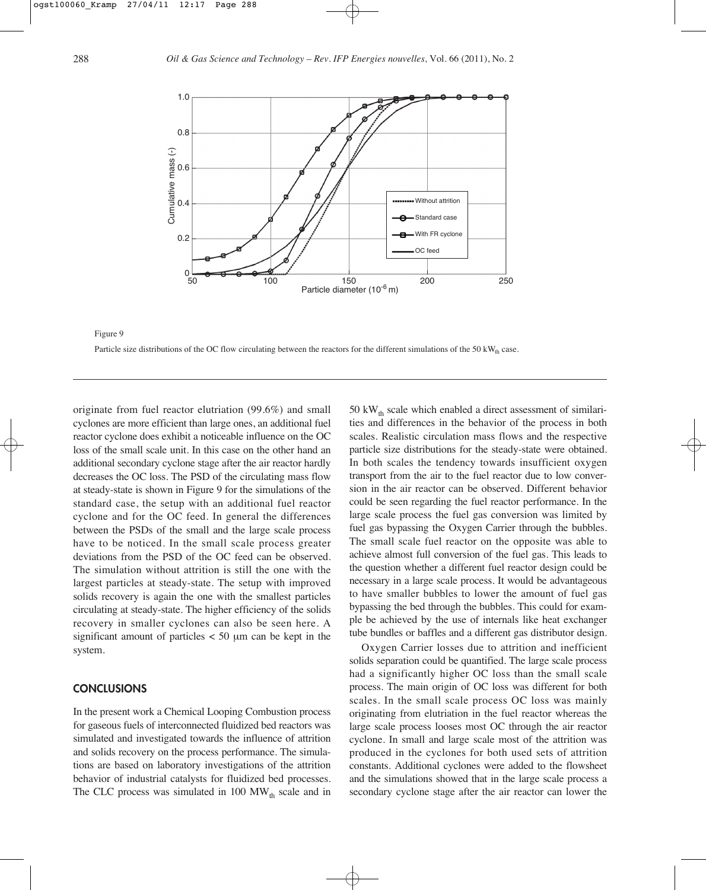

# Figure 9 Particle size distributions of the OC flow circulating between the reactors for the different simulations of the 50 kW<sub>th</sub> case.

originate from fuel reactor elutriation (99.6%) and small cyclones are more efficient than large ones, an additional fuel reactor cyclone does exhibit a noticeable influence on the OC loss of the small scale unit. In this case on the other hand an additional secondary cyclone stage after the air reactor hardly decreases the OC loss. The PSD of the circulating mass flow at steady-state is shown in Figure 9 for the simulations of the standard case, the setup with an additional fuel reactor cyclone and for the OC feed. In general the differences between the PSDs of the small and the large scale process have to be noticed. In the small scale process greater deviations from the PSD of the OC feed can be observed. The simulation without attrition is still the one with the largest particles at steady-state. The setup with improved solids recovery is again the one with the smallest particles circulating at steady-state. The higher efficiency of the solids recovery in smaller cyclones can also be seen here. A significant amount of particles  $<$  50  $\mu$ m can be kept in the system.

# **CONCLUSIONS**

In the present work a Chemical Looping Combustion process for gaseous fuels of interconnected fluidized bed reactors was simulated and investigated towards the influence of attrition and solids recovery on the process performance. The simulations are based on laboratory investigations of the attrition behavior of industrial catalysts for fluidized bed processes. The CLC process was simulated in 100  $MW_{th}$  scale and in  $50 \text{ kW}_{\text{th}}$  scale which enabled a direct assessment of similarities and differences in the behavior of the process in both scales. Realistic circulation mass flows and the respective particle size distributions for the steady-state were obtained. In both scales the tendency towards insufficient oxygen transport from the air to the fuel reactor due to low conversion in the air reactor can be observed. Different behavior could be seen regarding the fuel reactor performance. In the large scale process the fuel gas conversion was limited by fuel gas bypassing the Oxygen Carrier through the bubbles. The small scale fuel reactor on the opposite was able to achieve almost full conversion of the fuel gas. This leads to the question whether a different fuel reactor design could be necessary in a large scale process. It would be advantageous to have smaller bubbles to lower the amount of fuel gas bypassing the bed through the bubbles. This could for example be achieved by the use of internals like heat exchanger tube bundles or baffles and a different gas distributor design.

Oxygen Carrier losses due to attrition and inefficient solids separation could be quantified. The large scale process had a significantly higher OC loss than the small scale process. The main origin of OC loss was different for both scales. In the small scale process OC loss was mainly originating from elutriation in the fuel reactor whereas the large scale process looses most OC through the air reactor cyclone. In small and large scale most of the attrition was produced in the cyclones for both used sets of attrition constants. Additional cyclones were added to the flowsheet and the simulations showed that in the large scale process a secondary cyclone stage after the air reactor can lower the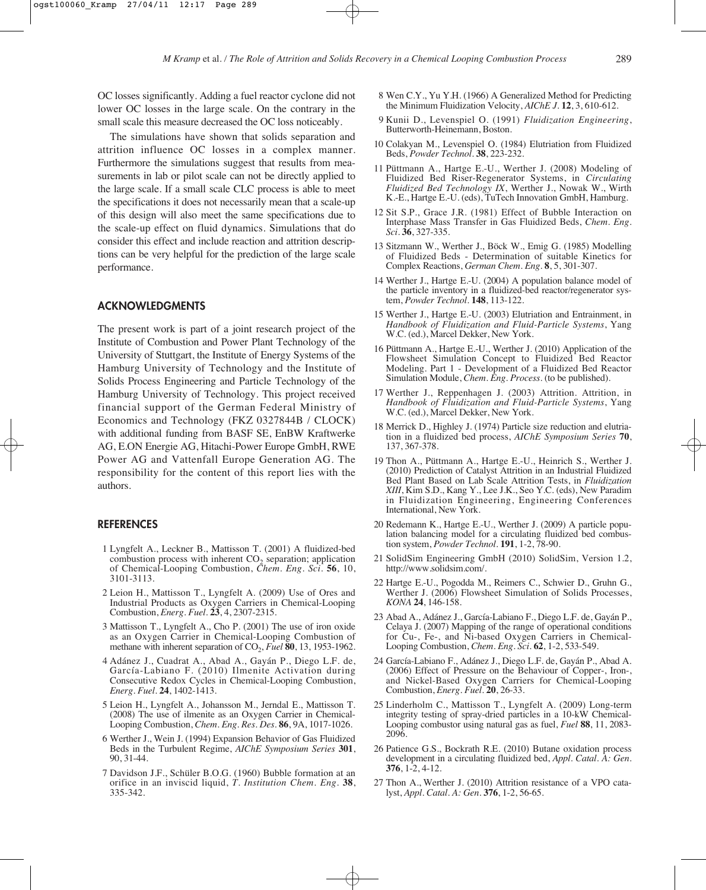OC losses significantly. Adding a fuel reactor cyclone did not lower OC losses in the large scale. On the contrary in the small scale this measure decreased the OC loss noticeably.

The simulations have shown that solids separation and attrition influence OC losses in a complex manner. Furthermore the simulations suggest that results from measurements in lab or pilot scale can not be directly applied to the large scale. If a small scale CLC process is able to meet the specifications it does not necessarily mean that a scale-up of this design will also meet the same specifications due to the scale-up effect on fluid dynamics. Simulations that do consider this effect and include reaction and attrition descriptions can be very helpful for the prediction of the large scale performance.

## ACKNOWLEDGMENTS

The present work is part of a joint research project of the Institute of Combustion and Power Plant Technology of the University of Stuttgart, the Institute of Energy Systems of the Hamburg University of Technology and the Institute of Solids Process Engineering and Particle Technology of the Hamburg University of Technology. This project received financial support of the German Federal Ministry of Economics and Technology (FKZ 0327844B / CLOCK) with additional funding from BASF SE, EnBW Kraftwerke AG, E.ON Energie AG, Hitachi-Power Europe GmbH, RWE Power AG and Vattenfall Europe Generation AG. The responsibility for the content of this report lies with the authors.

#### **REFERENCES**

- 1 Lyngfelt A., Leckner B., Mattisson T. (2001) A fluidized-bed combustion process with inherent  $CO<sub>2</sub>$  separation; application of Chemical-Looping Combustion, *Chem. Eng. Sci.* **56**, 10, 3101-3113.
- 2 Leion H., Mattisson T., Lyngfelt A. (2009) Use of Ores and Industrial Products as Oxygen Carriers in Chemical-Looping Combustion, *Energ. Fuel.* **23**, 4, 2307-2315.
- 3 Mattisson T., Lyngfelt A., Cho P. (2001) The use of iron oxide as an Oxygen Carrier in Chemical-Looping Combustion of methane with inherent separation of  $CO_2$ , *Fuel* **80**, 13, 1953-1962.
- 4 Adánez J., Cuadrat A., Abad A., Gayán P., Diego L.F. de, García-Labiano F. (2010) Ilmenite Activation during Consecutive Redox Cycles in Chemical-Looping Combustion, *Energ. Fuel.* **24**, 1402-1413.
- 5 Leion H., Lyngfelt A., Johansson M., Jerndal E., Mattisson T. (2008) The use of ilmenite as an Oxygen Carrier in Chemical-Looping Combustion, *Chem. Eng. Res. Des.* **86**, 9A, 1017-1026.
- 6 Werther J., Wein J. (1994) Expansion Behavior of Gas Fluidized Beds in the Turbulent Regime, *AIChE Symposium Series* **301**, 90, 31-44.
- 7 Davidson J.F., Schüler B.O.G. (1960) Bubble formation at an orifice in an inviscid liquid, *T. Institution Chem. Eng.* **38**, 335-342.
- 8 Wen C.Y., Yu Y.H. (1966) A Generalized Method for Predicting the Minimum Fluidization Velocity, *AIChE J.* **12**, 3, 610-612.
- 9 Kunii D., Levenspiel O. (1991) *Fluidization Engineering*, Butterworth-Heinemann, Boston.
- 10 Colakyan M., Levenspiel O. (1984) Elutriation from Fluidized Beds, *Powder Technol.* **38**, 223-232.
- 11 Püttmann A., Hartge E.-U., Werther J. (2008) Modeling of Fluidized Bed Riser-Regenerator Systems, in *Circulating Fluidized Bed Technology IX*, Werther J., Nowak W., Wirth K.-E., Hartge E.-U. (eds), TuTech Innovation GmbH, Hamburg.
- 12 Sit S.P., Grace J.R. (1981) Effect of Bubble Interaction on Interphase Mass Transfer in Gas Fluidized Beds, *Chem. Eng. Sci.* **36**, 327-335.
- 13 Sitzmann W., Werther J., Böck W., Emig G. (1985) Modelling of Fluidized Beds - Determination of suitable Kinetics for Complex Reactions, *German Chem. Eng.* **8**, 5, 301-307.
- 14 Werther J., Hartge E.-U. (2004) A population balance model of the particle inventory in a fluidized-bed reactor/regenerator system, *Powder Technol.* **148**, 113-122.
- 15 Werther J., Hartge E.-U. (2003) Elutriation and Entrainment, in *Handbook of Fluidization and Fluid-Particle Systems*, Yang W.C. (ed.), Marcel Dekker, New York.
- 16 Püttmann A., Hartge E.-U., Werther J. (2010) Application of the Flowsheet Simulation Concept to Fluidized Bed Reactor Modeling. Part 1 - Development of a Fluidized Bed Reactor Simulation Module, *Chem. Eng. Process.* (to be published).
- 17 Werther J., Reppenhagen J. (2003) Attrition. Attrition, in *Handbook of Fluidization and Fluid-Particle Systems*, Yang W.C. (ed.), Marcel Dekker, New York.
- 18 Merrick D., Highley J. (1974) Particle size reduction and elutriation in a fluidized bed process, *AIChE Symposium Series* **70**, 137, 367-378.
- 19 Thon A., Püttmann A., Hartge E.-U., Heinrich S., Werther J. (2010) Prediction of Catalyst Attrition in an Industrial Fluidized Bed Plant Based on Lab Scale Attrition Tests, in *Fluidization XIII*, Kim S.D., Kang Y., Lee J.K., Seo Y.C. (eds), New Paradim in Fluidization Engineering, Engineering Conferences International, New York.
- 20 Redemann K., Hartge E.-U., Werther J. (2009) A particle population balancing model for a circulating fluidized bed combustion system, *Powder Technol.* **191**, 1-2, 78-90.
- 21 SolidSim Engineering GmbH (2010) SolidSim, Version 1.2, http://www.solidsim.com/.
- 22 Hartge E.-U., Pogodda M., Reimers C., Schwier D., Gruhn G., Werther J. (2006) Flowsheet Simulation of Solids Processes, *KONA* **24**, 146-158.
- 23 Abad A., Adánez J., García-Labiano F., Diego L.F. de, Gayán P., Celaya J. (2007) Mapping of the range of operational conditions for Cu-, Fe-, and Ni-based Oxygen Carriers in Chemical-Looping Combustion, *Chem. Eng. Sci.* **62**, 1-2, 533-549.
- 24 García-Labiano F., Adánez J., Diego L.F. de, Gayán P., Abad A. (2006) Effect of Pressure on the Behaviour of Copper-, Iron-, and Nickel-Based Oxygen Carriers for Chemical-Looping Combustion, *Energ. Fuel.* **20**, 26-33.
- 25 Linderholm C., Mattisson T., Lyngfelt A. (2009) Long-term integrity testing of spray-dried particles in a 10-kW Chemical-Looping combustor using natural gas as fuel, *Fuel* **88**, 11, 2083- 2096.
- 26 Patience G.S., Bockrath R.E. (2010) Butane oxidation process development in a circulating fluidized bed, *Appl. Catal. A: Gen.* **376**, 1-2, 4-12.
- 27 Thon A., Werther J. (2010) Attrition resistance of a VPO catalyst, *Appl. Catal. A: Gen.* **376**, 1-2, 56-65.